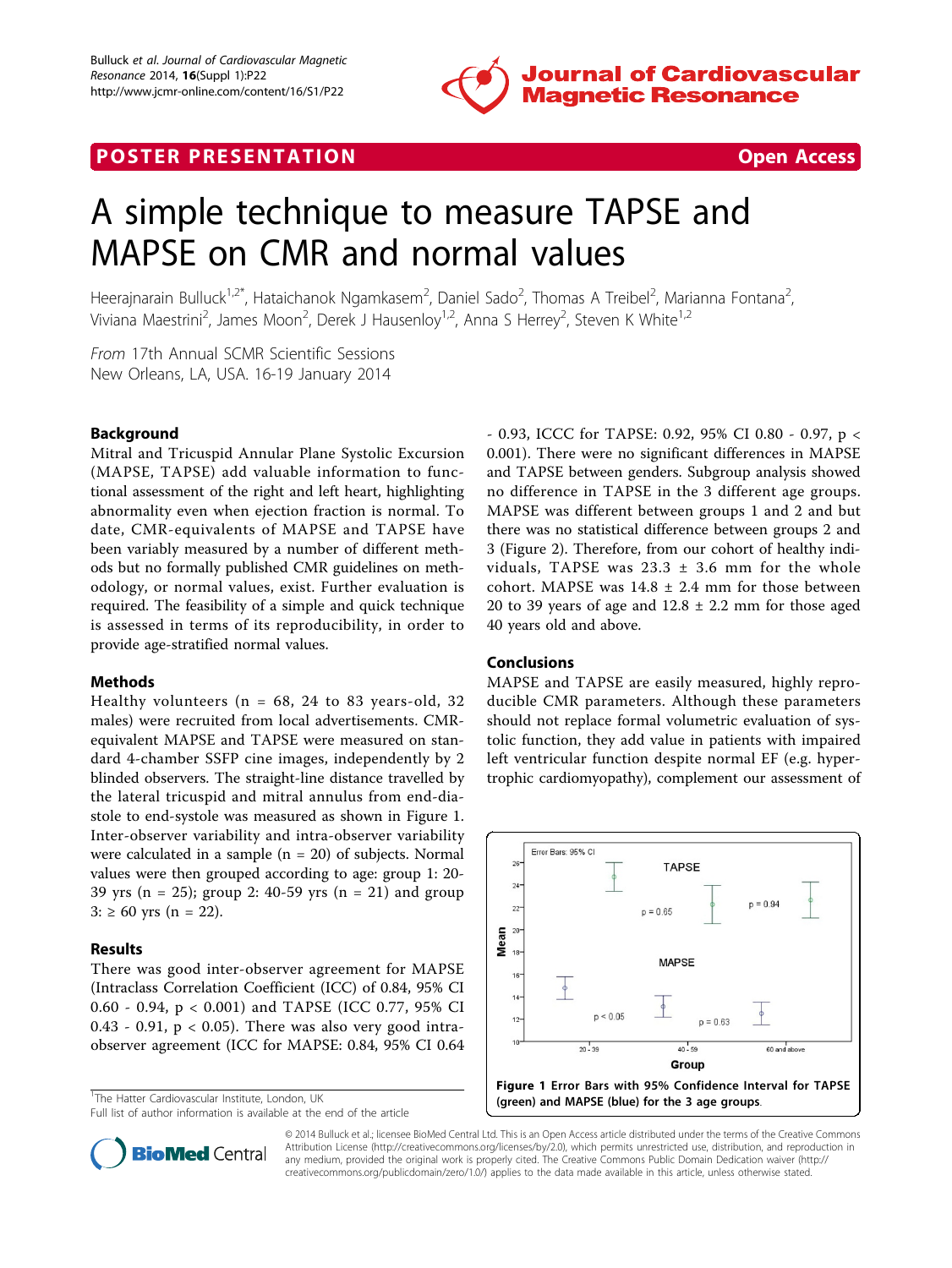

## **POSTER PRESENTATION CONSUMING THE SECOND CONSUMING THE SECOND CONSUMING THE SECOND CONSUMING THE SECOND CONSUMING THE SECOND CONSUMING THE SECOND CONSUMING THE SECOND CONSUMING THE SECOND CONSUMING THE SECOND CONSUMING**



# A simple technique to measure TAPSE and MAPSE on CMR and normal values

Heerajnarain Bulluck<sup>1,2\*</sup>, Hataichanok Ngamkasem<sup>2</sup>, Daniel Sado<sup>2</sup>, Thomas A Treibel<sup>2</sup>, Marianna Fontana<sup>2</sup> , Viviana Maestrini<sup>2</sup>, James Moon<sup>2</sup>, Derek J Hausenloy<sup>1,2</sup>, Anna S Herrey<sup>2</sup>, Steven K White<sup>1,2</sup>

From 17th Annual SCMR Scientific Sessions New Orleans, LA, USA. 16-19 January 2014

### Background

Mitral and Tricuspid Annular Plane Systolic Excursion (MAPSE, TAPSE) add valuable information to functional assessment of the right and left heart, highlighting abnormality even when ejection fraction is normal. To date, CMR-equivalents of MAPSE and TAPSE have been variably measured by a number of different methods but no formally published CMR guidelines on methodology, or normal values, exist. Further evaluation is required. The feasibility of a simple and quick technique is assessed in terms of its reproducibility, in order to provide age-stratified normal values.

#### Methods

Healthy volunteers ( $n = 68$ , 24 to 83 years-old, 32 males) were recruited from local advertisements. CMRequivalent MAPSE and TAPSE were measured on standard 4-chamber SSFP cine images, independently by 2 blinded observers. The straight-line distance travelled by the lateral tricuspid and mitral annulus from end-diastole to end-systole was measured as shown in Figure 1. Inter-observer variability and intra-observer variability were calculated in a sample (n = 20) of subjects. Normal values were then grouped according to age: group 1: 20- 39 yrs (n = 25); group 2: 40-59 yrs (n = 21) and group  $3: \geq 60$  yrs (n = 22).

#### Results

There was good inter-observer agreement for MAPSE (Intraclass Correlation Coefficient (ICC) of 0.84, 95% CI 0.60 - 0.94, p < 0.001) and TAPSE (ICC 0.77, 95% CI 0.43 - 0.91,  $p < 0.05$ ). There was also very good intraobserver agreement (ICC for MAPSE: 0.84, 95% CI 0.64

<sup>1</sup>The Hatter Cardiovascular Institute, London, UK

- 0.93, ICCC for TAPSE: 0.92, 95% CI 0.80 - 0.97, p < 0.001). There were no significant differences in MAPSE and TAPSE between genders. Subgroup analysis showed no difference in TAPSE in the 3 different age groups. MAPSE was different between groups 1 and 2 and but there was no statistical difference between groups 2 and 3 (Figure [2](#page-1-0)). Therefore, from our cohort of healthy individuals, TAPSE was  $23.3 \pm 3.6$  mm for the whole cohort. MAPSE was  $14.8 \pm 2.4$  mm for those between 20 to 39 years of age and  $12.8 \pm 2.2$  mm for those aged 40 years old and above.

#### Conclusions

MAPSE and TAPSE are easily measured, highly reproducible CMR parameters. Although these parameters should not replace formal volumetric evaluation of systolic function, they add value in patients with impaired left ventricular function despite normal EF (e.g. hypertrophic cardiomyopathy), complement our assessment of





© 2014 Bulluck et al.; licensee BioMed Central Ltd. This is an Open Access article distributed under the terms of the Creative Commons Attribution License [\(http://creativecommons.org/licenses/by/2.0](http://creativecommons.org/licenses/by/2.0)), which permits unrestricted use, distribution, and reproduction in any medium, provided the original work is properly cited. The Creative Commons Public Domain Dedication waiver [\(http://](http://creativecommons.org/publicdomain/zero/1.0/) [creativecommons.org/publicdomain/zero/1.0/](http://creativecommons.org/publicdomain/zero/1.0/)) applies to the data made available in this article, unless otherwise stated.

Full list of author information is available at the end of the article